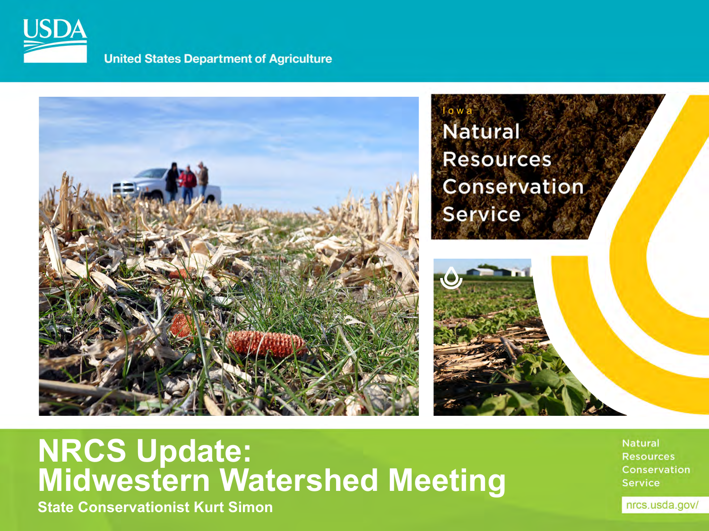

**United States Department of Agriculture** 



#### **NRCS Update: Midwestern Watershed Meeting**

**State Conservationist Kurt Simon**

**Natural Resources** Conservation **Service**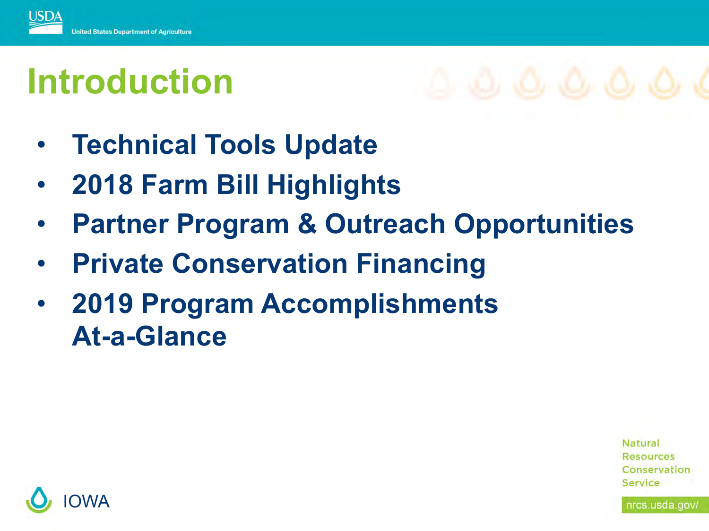

### **Introduction**

- 
- **Technical Tools Update**
- **2018 Farm Bill Highlights**
- **Partner Program & Outreach Opportunities**
- **Private Conservation Financing**
- **2019 Program Accomplishments At-a-Glance**

**Natural Resources** Conservation Service

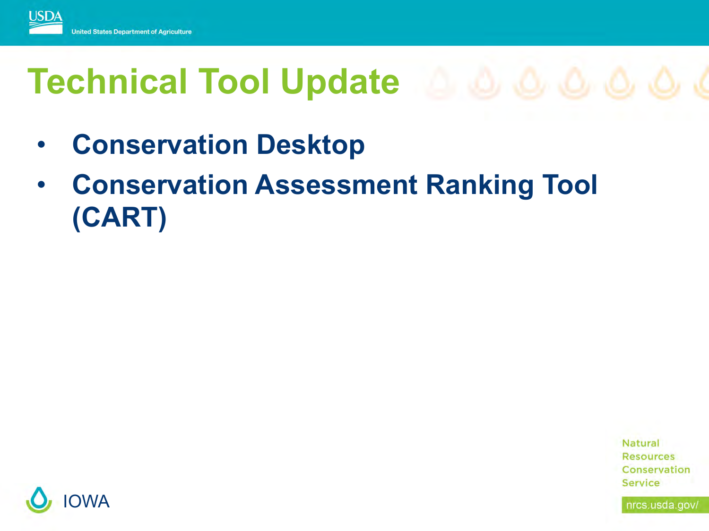

- **Conservation Desktop**
- **Conservation Assessment Ranking Tool (CART)**



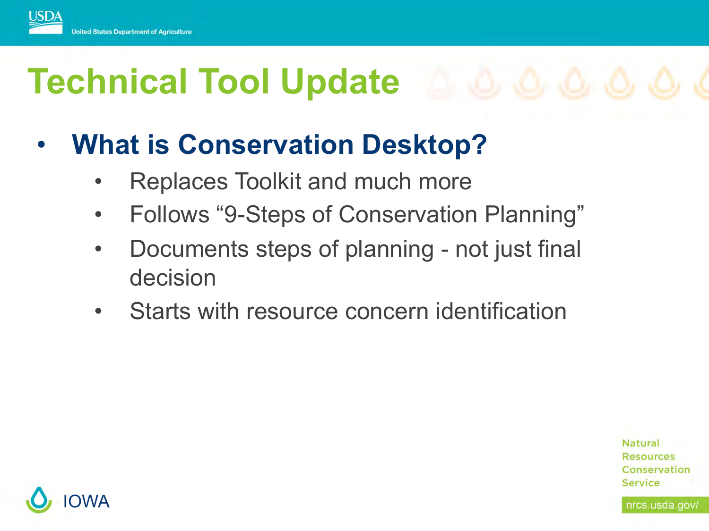

#### • **What is Conservation Desktop?**

- Replaces Toolkit and much more
- Follows "9-Steps of Conservation Planning"
- Documents steps of planning not just final decision
- Starts with resource concern identification

**Natural Resources** Conservation Service

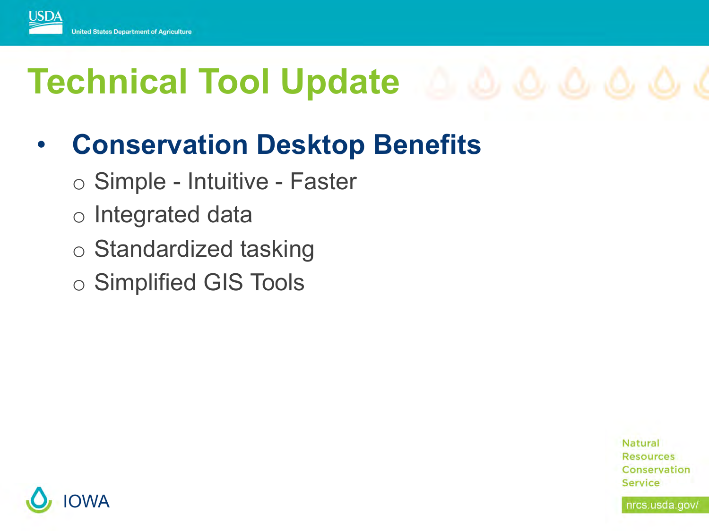

#### • **Conservation Desktop Benefits**

- o Simple Intuitive Faster
- o Integrated data
- o Standardized tasking
- o Simplified GIS Tools

**Natural Resources** Conservation **Service** 

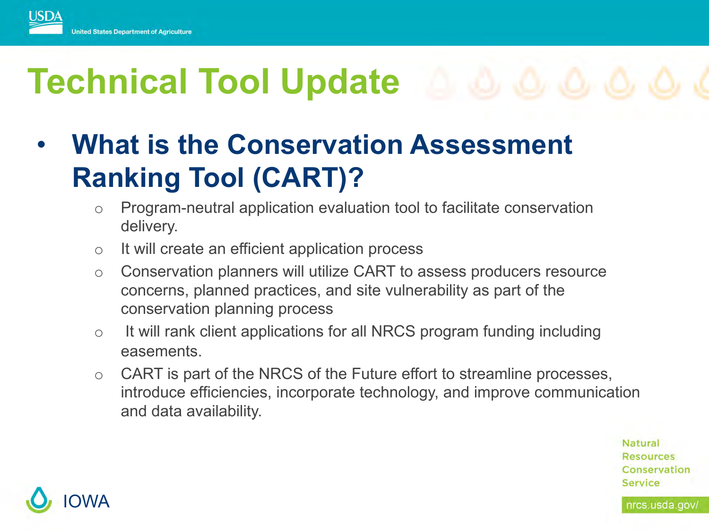

#### • **What is the Conservation Assessment Ranking Tool (CART)?**

- o Program-neutral application evaluation tool to facilitate conservation delivery.
- o It will create an efficient application process
- o Conservation planners will utilize CART to assess producers resource concerns, planned practices, and site vulnerability as part of the conservation planning process
- $\circ$  It will rank client applications for all NRCS program funding including easements.
- o CART is part of the NRCS of the Future effort to streamline processes, introduce efficiencies, incorporate technology, and improve communication and data availability.

Natural **Resources** Conservation **Service** 

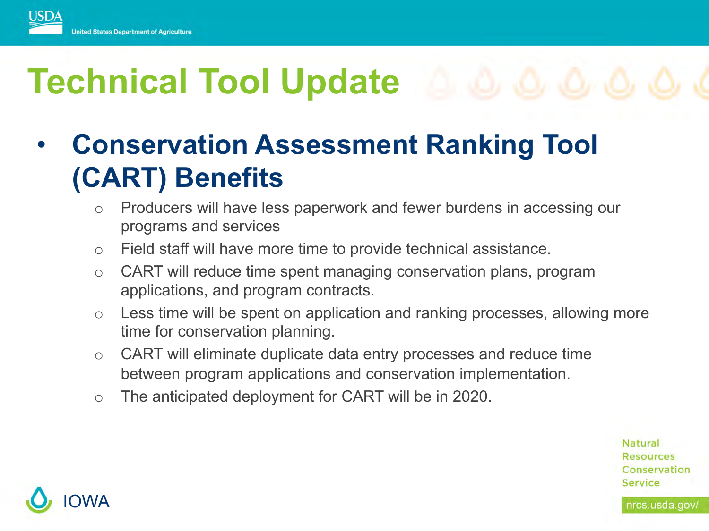

#### • **Conservation Assessment Ranking Tool (CART) Benefits**

- o Producers will have less paperwork and fewer burdens in accessing our programs and services
- o Field staff will have more time to provide technical assistance.
- o CART will reduce time spent managing conservation plans, program applications, and program contracts.
- o Less time will be spent on application and ranking processes, allowing more time for conservation planning.
- o CART will eliminate duplicate data entry processes and reduce time between program applications and conservation implementation.
- o The anticipated deployment for CART will be in 2020.

**Natural Resources** Conservation **Service** 

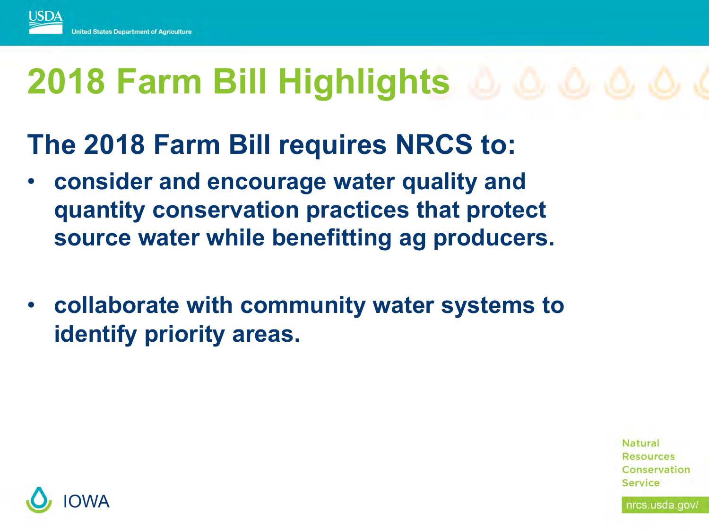

# **2018 Farm Bill Highlights**

#### **The 2018 Farm Bill requires NRCS to:**

- **consider and encourage water quality and quantity conservation practices that protect source water while benefitting ag producers.**
- **collaborate with community water systems to identify priority areas.**



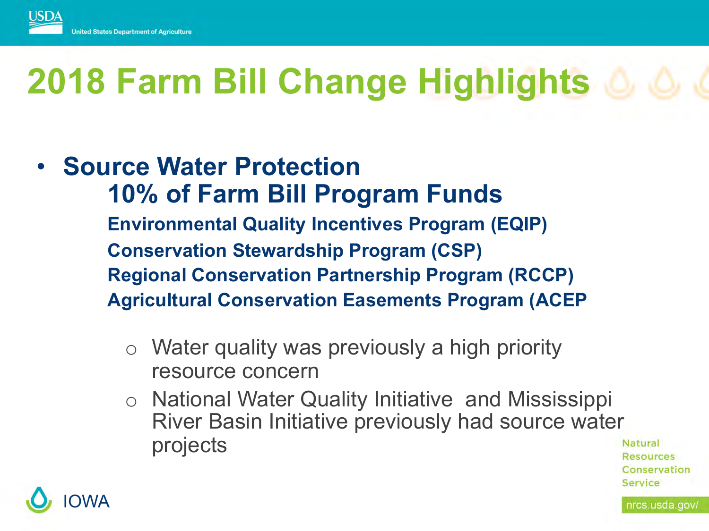

# **2018 Farm Bill Change Highlights**

#### • **Source Water Protection 10% of Farm Bill Program Funds Environmental Quality Incentives Program (EQIP) Conservation Stewardship Program (CSP) Regional Conservation Partnership Program (RCCP) Agricultural Conservation Easements Program (ACEP**

- o Water quality was previously a high priority resource concern
- o National Water Quality Initiative and Mississippi River Basin Initiative previously had source water projects



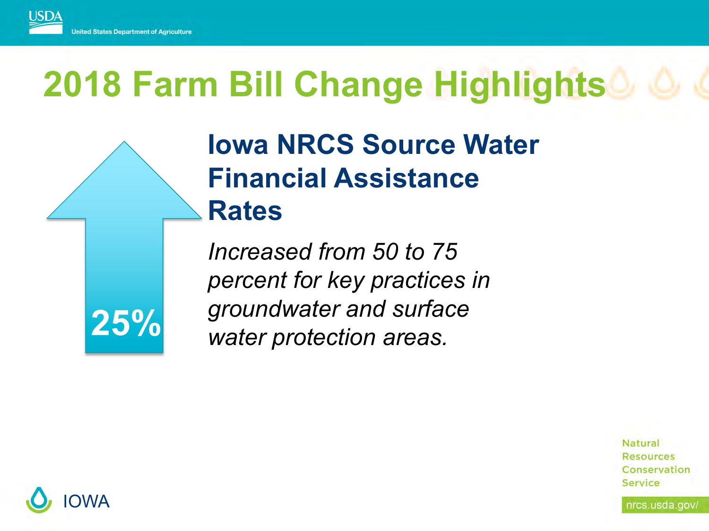

# **2018 Farm Bill Change Highlights**

#### **Iowa NRCS Source Water Financial Assistance Rates**

*Increased from 50 to 75 percent for key practices in groundwater and surface water protection areas.* 



**Natural Resources** Conservation Service

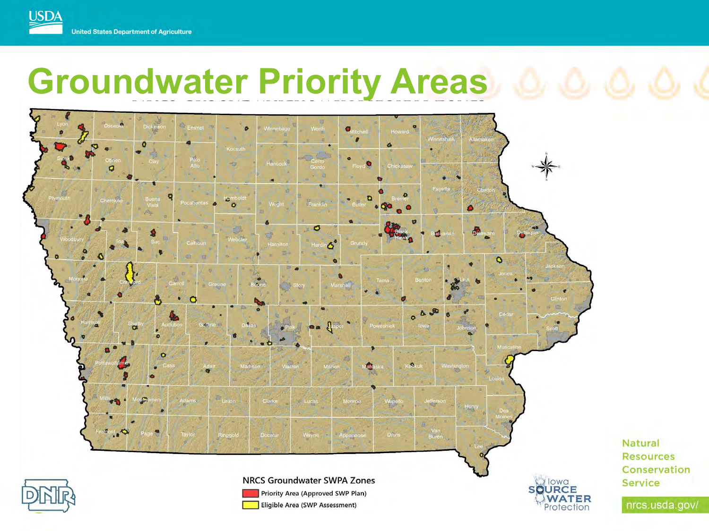#### **United States Department of Agriculture**

**USDA** 

### **Groundwater Priority Areas**



Natural **Resources** Conservation **Service**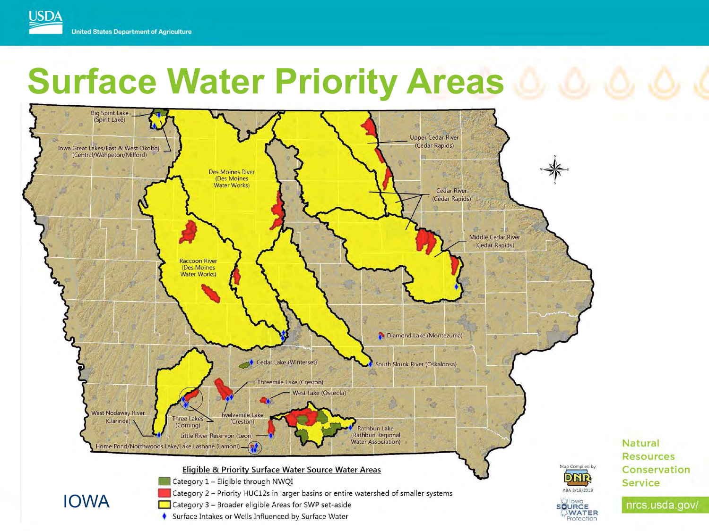#### **USDA United States Department of Agriculture**

### **Surface Water Priority Areas & & &**



Natural

**Service** 

**Resources** 

Conservation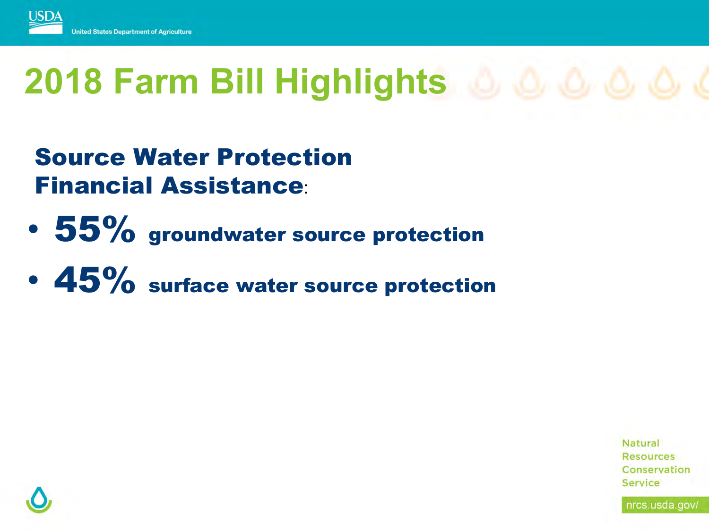

# **2018 Farm Bill Highlights**

Source Water Protection Financial Assistance:

- 55% groundwater source protection
- 45% surface water source protection

**Natural Resources** Conservation Service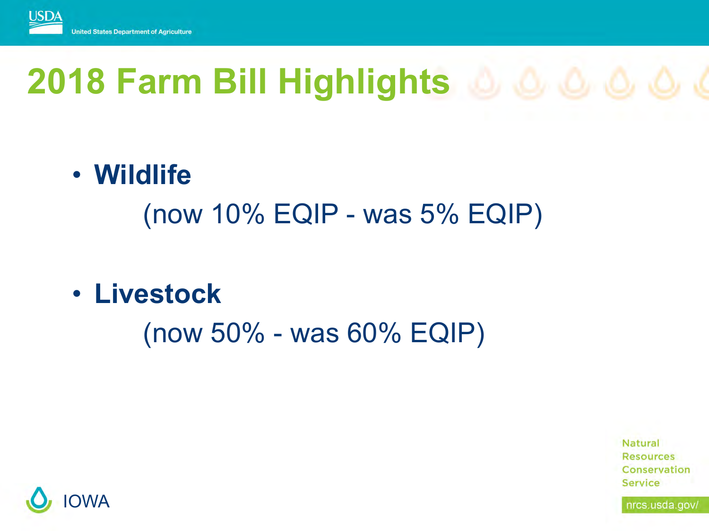

# **2018 Farm Bill Highlights**

• **Wildlife** 

(now 10% EQIP - was 5% EQIP)

• **Livestock** 

(now 50% - was 60% EQIP)



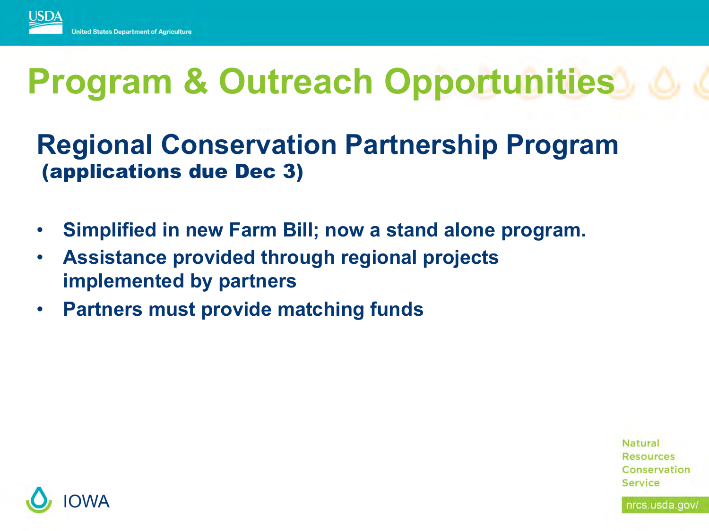

#### **Regional Conservation Partnership Program** (applications due Dec 3)

- **Simplified in new Farm Bill; now a stand alone program.**
- **Assistance provided through regional projects implemented by partners**
- **Partners must provide matching funds**

**Natural Resources** Conservation Service

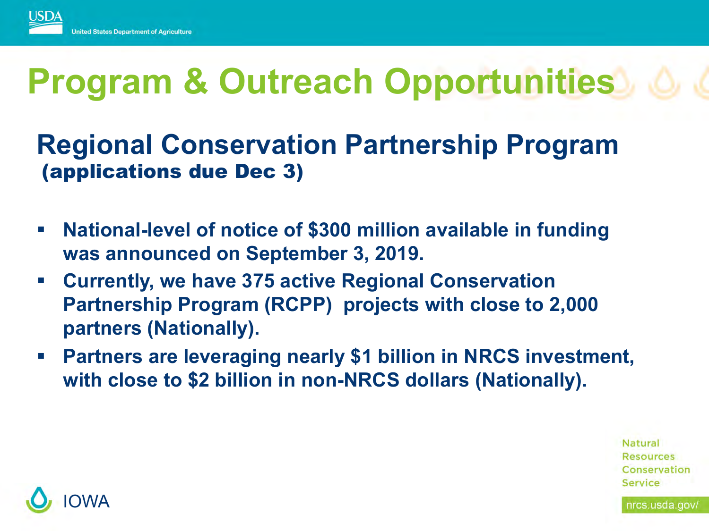

#### **Regional Conservation Partnership Program** (applications due Dec 3)

- § **National-level of notice of \$300 million available in funding was announced on September 3, 2019.**
- § **Currently, we have 375 active Regional Conservation Partnership Program (RCPP) projects with close to 2,000 partners (Nationally).**
- § **Partners are leveraging nearly \$1 billion in NRCS investment, with close to \$2 billion in non-NRCS dollars (Nationally).**

**Natural Resources** Conservation Service

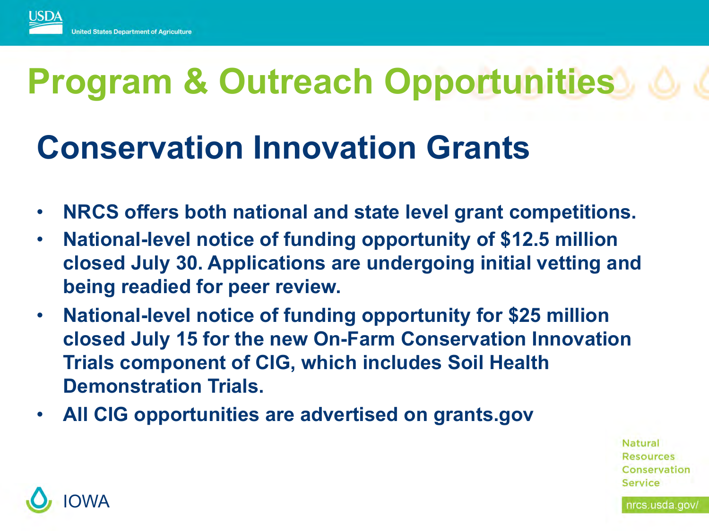

### **Conservation Innovation Grants**

- **NRCS offers both national and state level grant competitions.**
- **National-level notice of funding opportunity of \$12.5 million closed July 30. Applications are undergoing initial vetting and being readied for peer review.**
- **National-level notice of funding opportunity for \$25 million closed July 15 for the new On-Farm Conservation Innovation Trials component of CIG, which includes Soil Health Demonstration Trials.**
- **All CIG opportunities are advertised on grants.gov**

**Natural Resources** Conservation

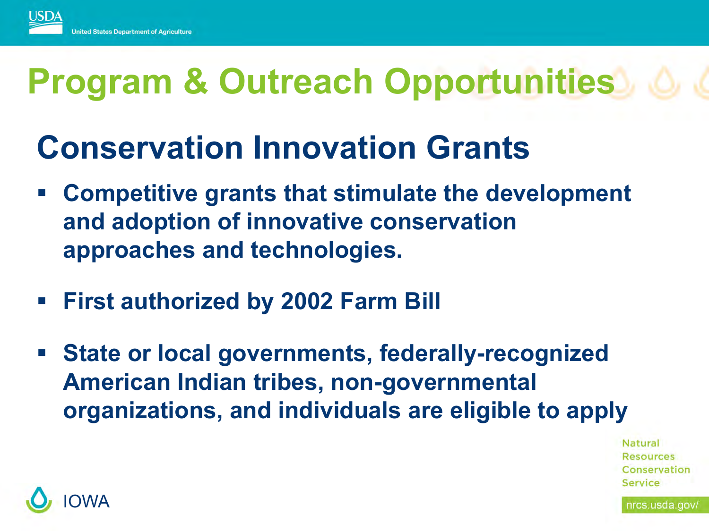

#### **Conservation Innovation Grants**

- § **Competitive grants that stimulate the development and adoption of innovative conservation approaches and technologies.**
- § **First authorized by 2002 Farm Bill**
- § **State or local governments, federally-recognized American Indian tribes, non-governmental organizations, and individuals are eligible to apply**

Natural Resources Conservation

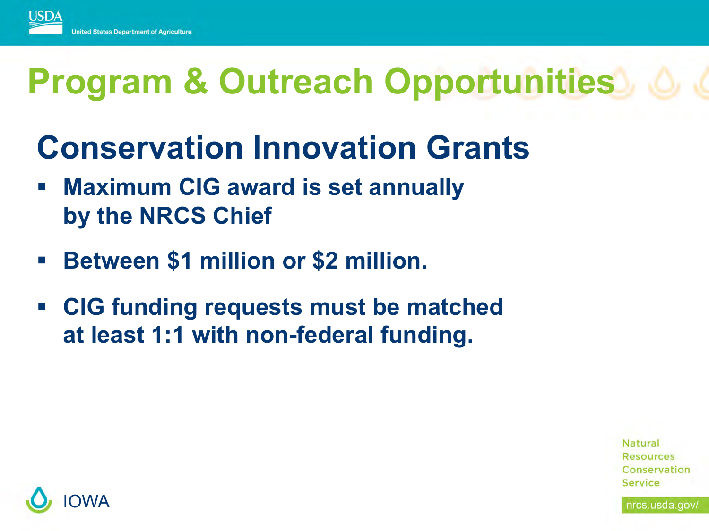

- **Conservation Innovation Grants**
- § **Maximum CIG award is set annually by the NRCS Chief**
- § **Between \$1 million or \$2 million.**
- § **CIG funding requests must be matched at least 1:1 with non-federal funding.**



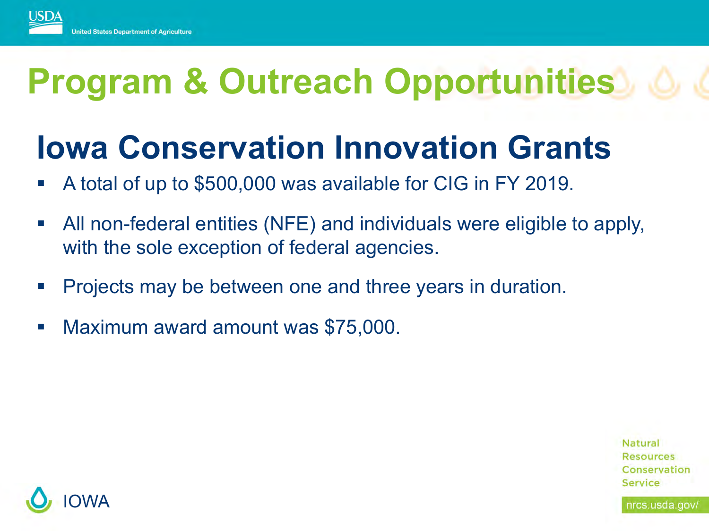

### **Iowa Conservation Innovation Grants**

- § A total of up to \$500,000 was available for CIG in FY 2019.
- All non-federal entities (NFE) and individuals were eligible to apply, with the sole exception of federal agencies.
- § Projects may be between one and three years in duration.
- Maximum award amount was \$75,000.

**Natural Resources** Conservation Service

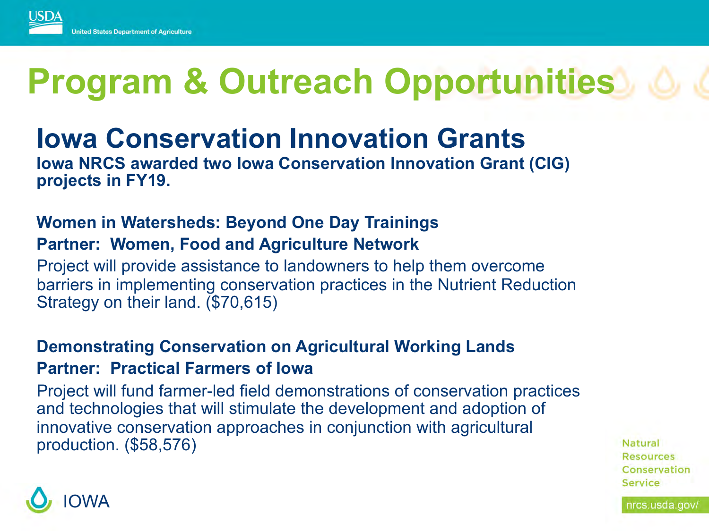

#### **Iowa Conservation Innovation Grants**

**Iowa NRCS awarded two Iowa Conservation Innovation Grant (CIG) projects in FY19.** 

#### **Women in Watersheds: Beyond One Day Trainings Partner: Women, Food and Agriculture Network**

Project will provide assistance to landowners to help them overcome barriers in implementing conservation practices in the Nutrient Reduction Strategy on their land. (\$70,615)

#### **Demonstrating Conservation on Agricultural Working Lands Partner: Practical Farmers of Iowa**

Project will fund farmer-led field demonstrations of conservation practices and technologies that will stimulate the development and adoption of innovative conservation approaches in conjunction with agricultural production. (\$58,576)



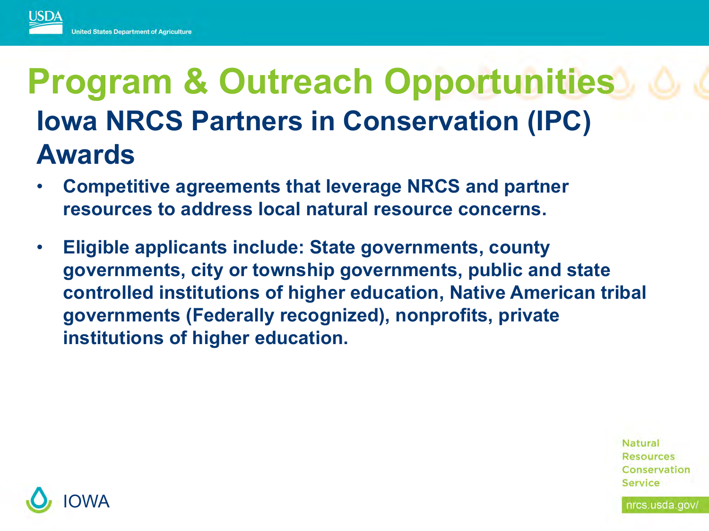

### **Program & Outreach Opportunities Iowa NRCS Partners in Conservation (IPC) Awards**

- **Competitive agreements that leverage NRCS and partner resources to address local natural resource concerns.**
- **Eligible applicants include: State governments, county governments, city or township governments, public and state controlled institutions of higher education, Native American tribal governments (Federally recognized), nonprofits, private institutions of higher education.**

**Natural Resources** Conservation Service

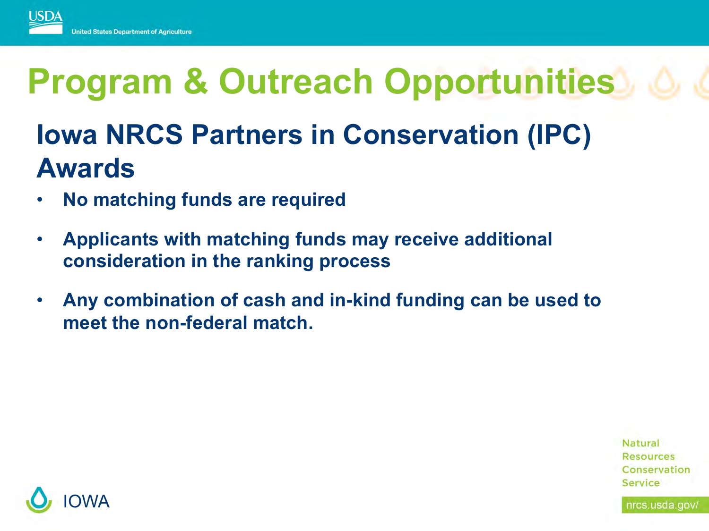

#### **Iowa NRCS Partners in Conservation (IPC) Awards**

- **No matching funds are required**
- **Applicants with matching funds may receive additional consideration in the ranking process**
- **Any combination of cash and in-kind funding can be used to meet the non-federal match.**

**Natural Resources** Conservation Service

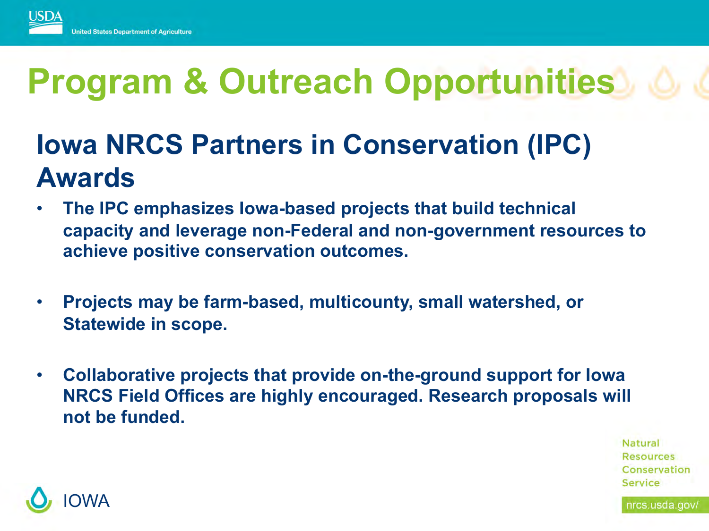

#### **Iowa NRCS Partners in Conservation (IPC) Awards**

- **The IPC emphasizes Iowa-based projects that build technical capacity and leverage non-Federal and non-government resources to achieve positive conservation outcomes.**
- **Projects may be farm-based, multicounty, small watershed, or Statewide in scope.**
- **Collaborative projects that provide on-the-ground support for Iowa NRCS Field Offices are highly encouraged. Research proposals will not be funded.**

**Natural Resources** Conservation Service

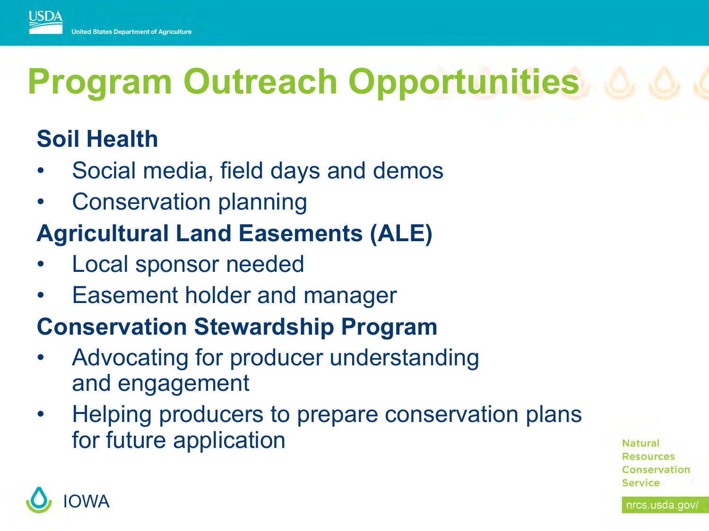

#### **Soil Health**

- Social media, field days and demos
- Conservation planning

#### **Agricultural Land Easements (ALE)**

- Local sponsor needed
- Easement holder and manager

#### **Conservation Stewardship Program**

- Advocating for producer understanding and engagement
- Helping producers to prepare conservation plans for future application

Natural **Resources** Conservation

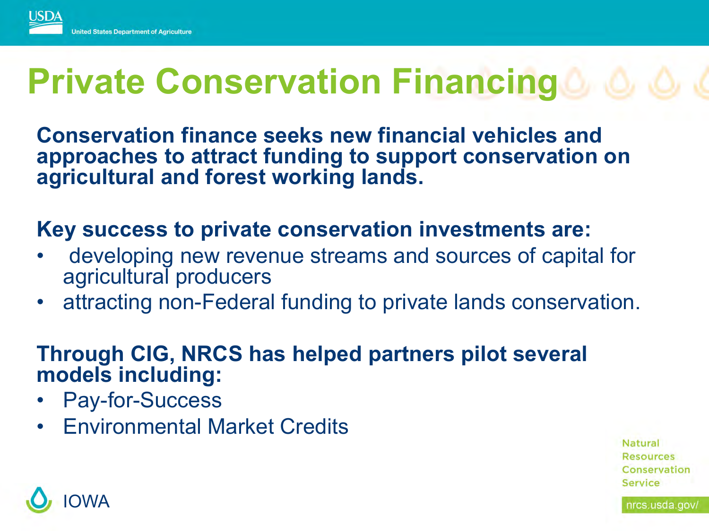

### **Private Conservation Financing**

**Conservation finance seeks new financial vehicles and approaches to attract funding to support conservation on agricultural and forest working lands.**

#### **Key success to private conservation investments are:**

- developing new revenue streams and sources of capital for agricultural producers
- attracting non-Federal funding to private lands conservation.

#### **Through CIG, NRCS has helped partners pilot several models including:**

- Pay-for-Success
- Environmental Market Credits

Natural **Resources** Conservation Service

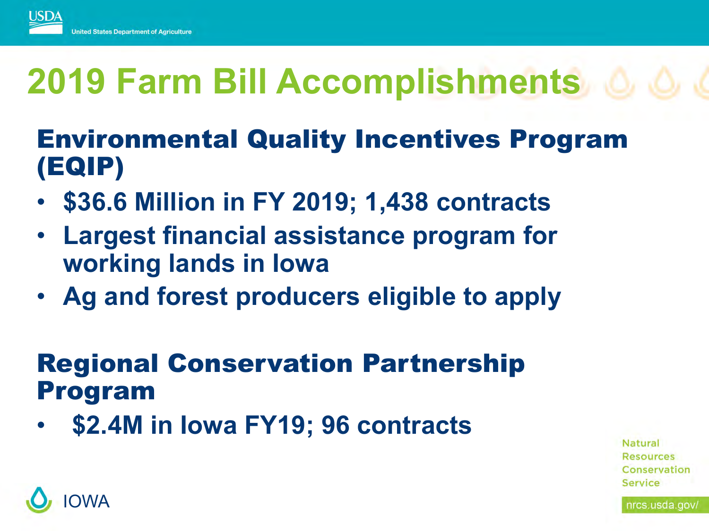

# **2019 Farm Bill Accomplishments**

#### Environmental Quality Incentives Program (EQIP)

- **\$36.6 Million in FY 2019; 1,438 contracts**
- **Largest financial assistance program for working lands in Iowa**
- **Ag and forest producers eligible to apply**

#### Regional Conservation Partnership Program

• **\$2.4M in Iowa FY19; 96 contracts** 

**Natural Resources** Conservation Service

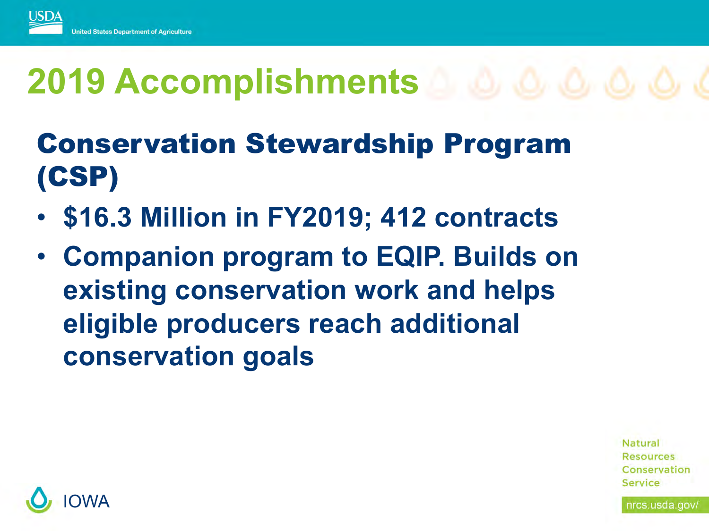

# **2019 Accomplishments**

#### Conservation Stewardship Program (CSP)

- **\$16.3 Million in FY2019; 412 contracts**
- **Companion program to EQIP. Builds on existing conservation work and helps eligible producers reach additional conservation goals**

**Natural Resources** Conservation Service

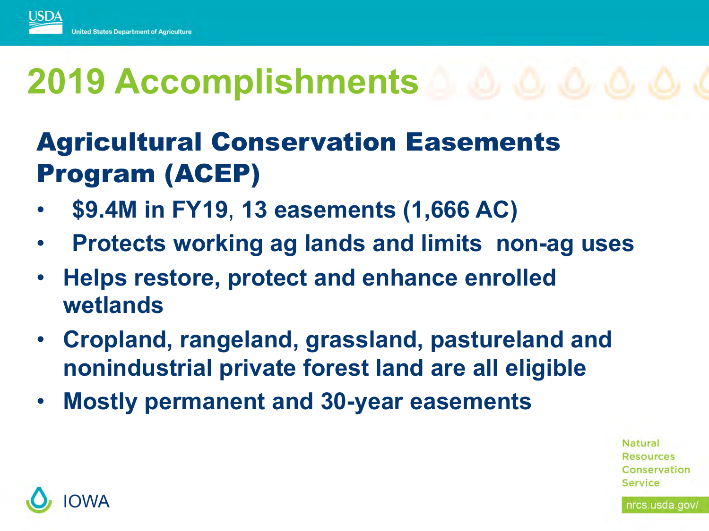

# **2019 Accomplishments**

#### Agricultural Conservation Easements Program (ACEP)

- **\$9.4M in FY19**, **13 easements (1,666 AC)**
- **Protects working ag lands and limits non-ag uses**
- **Helps restore, protect and enhance enrolled wetlands**
- **Cropland, rangeland, grassland, pastureland and nonindustrial private forest land are all eligible**
- **Mostly permanent and 30-year easements**

**Natural Resources** Conservation Service